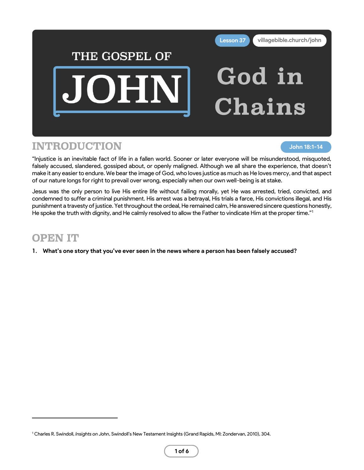

## INTRODUCTION

**John 18:1-14**

"Injustice is an inevitable fact of life in a fallen world. Sooner or later everyone will be misunderstood, misquoted, falsely accused, slandered, gossiped about, or openly maligned. Although we all share the experience, that doesn't make it any easier to endure. We bear the image of God, who loves justice as much as He loves mercy, and that aspect of our nature longs for right to prevail over wrong, especially when our own well-being is at stake.

Jesus was the only person to live His entire life without failing morally, yet He was arrested, tried, convicted, and condemned to suffer a criminal punishment. His arrest was a betrayal, His trials a farce, His convictions illegal, and His punishment a travesty of justice. Yet throughout the ordeal, He remained calm, He answered sincere questions honestly, He spoke the truth with dignity, and He calmly resolved to allow the Father to vindicate Him at the proper time."<sup>1</sup>

# OPEN IT

**1. What's one story that you've ever seen in the news where a person has been falsely accused?**

<sup>1</sup> Charles R. Swindoll, *Insights on John*, Swindoll's New Testament Insights (Grand Rapids, MI: Zondervan, 2010), 304.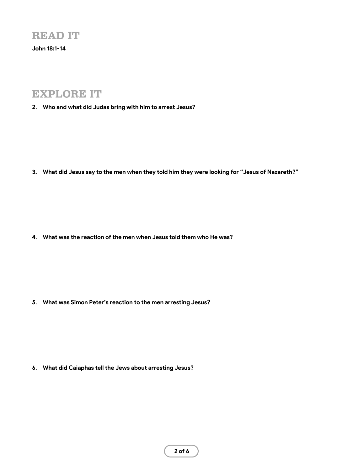**John 18:1-14**

## EXPLORE IT

**2. Who and what did Judas bring with him to arrest Jesus?**

**3. What did Jesus say to the men when they told him they were looking for "Jesus of Nazareth?"**

**4. What was the reaction of the men when Jesus told them who He was?**

**5. What was Simon Peter's reaction to the men arresting Jesus?**

**6. What did Caiaphas tell the Jews about arresting Jesus?**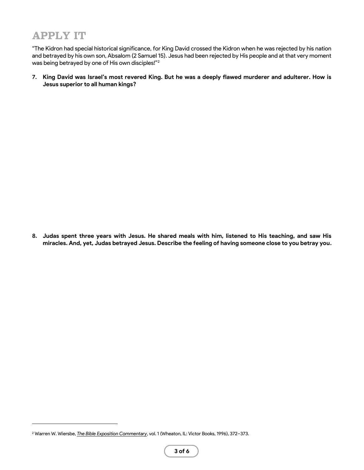## APPLY IT

"The Kidron had special historical significance, for King David crossed the Kidron when he was rejected by his nation and betrayed by his own son, Absalom (2 Samuel 15). Jesus had been rejected by His people and at that very moment was being betrayed by one of His own disciples!"<sup>2</sup>

**7. King David was Israel's most revered King. But he was a deeply flawed murderer and adulterer. How is Jesus superior to all human kings?**

**8. Judas spent three years with Jesus. He shared meals with him, listened to His teaching, and saw His miracles. And, yet, Judas betrayed Jesus. Describe the feeling of having someone close to you betray you.**

<sup>2</sup> Warren W. Wiersbe, *[The Bible Exposition Commentary](https://ref.ly/logosres/ntbec?ref=Bible.Jn18.1&off=2113&ctx=so+note+Jonah+2:3).%0a~The+Kidron+had+speci)*, vol. 1 (Wheaton, IL: Victor Books, 1996), 372–373.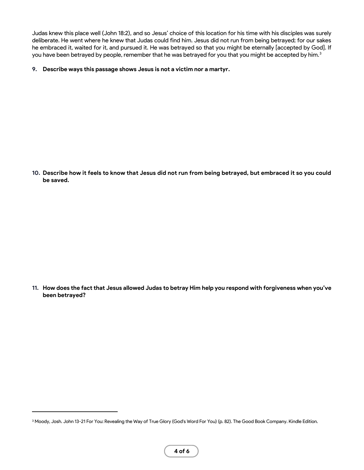Judas knew this place well (John 18:2), and so Jesus' choice of this location for his time with his disciples was surely deliberate. He went where he knew that Judas could find him. Jesus did not run from being betrayed; for our sakes he embraced it, waited for it, and pursued it. He was betrayed so that you might be eternally [accepted by God]. If you have been betrayed by people, remember that he was betrayed for you that you might be accepted by him.<sup>3</sup>

#### **9. Describe ways this passage shows Jesus is not a victim nor a martyr.**

**10. Describe how it feels to know that Jesus did not run from being betrayed, but embraced it so you could be saved.**

**11. How does the fact that Jesus allowed Judas to betray Him help you respond with forgiveness when you've been betrayed?**

<sup>&</sup>lt;sup>3</sup> Moody, Josh. John 13-21 For You: Revealing the Way of True Glory (God's Word For You) (p. 82). The Good Book Company. Kindle Edition.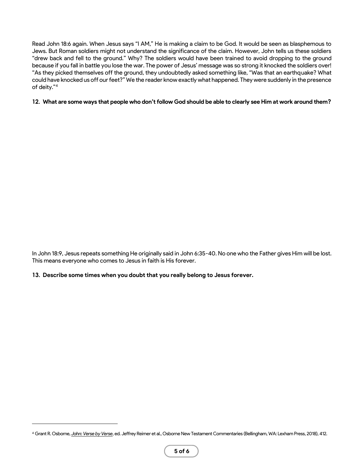Read John 18:6 again. When Jesus says "I AM," He is making a claim to be God. It would be seen as blasphemous to Jews. But Roman soldiers might not understand the significance of the claim. However, John tells us these soldiers "drew back and fell to the ground." Why? The soldiers would have been trained to avoid dropping to the ground because if you fall in battle you lose the war. The power of Jesus' message was so strong it knocked the soldiers over! "As they picked themselves off the ground, they undoubtedly asked something like, "Was that an earthquake? What could have knocked us off our feet?" We the reader know exactly what happened. They were suddenly in the presence of deity."<sup>4</sup>

#### **12. What are some ways that people who don't follow God should be able to clearly see Him at work around them?**

In John 18:9, Jesus repeats something He originally said in John 6:35-40. No one who the Father gives Him will be lost. This means everyone who comes to Jesus in faith is His forever.

#### **13. Describe some times when you doubt that you really belong to Jesus forever.**

<sup>4</sup> Grant R. Osborne, *[John: Verse by Verse](https://ref.ly/logosres/vbv64jn?ref=Bible.Jn18.4-9&off=1849&ctx=arly+the+case+here.+~Jesus+is+revealing+h)*, ed. Jeffrey Reimer et al., Osborne New Testament Commentaries (Bellingham, WA: Lexham Press, 2018), 412.